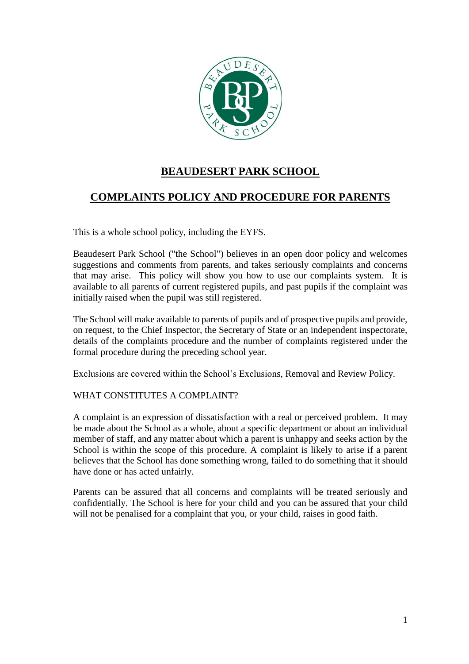

# **BEAUDESERT PARK SCHOOL**

## **COMPLAINTS POLICY AND PROCEDURE FOR PARENTS**

This is a whole school policy, including the EYFS.

Beaudesert Park School ("the School") believes in an open door policy and welcomes suggestions and comments from parents, and takes seriously complaints and concerns that may arise. This policy will show you how to use our complaints system. It is available to all parents of current registered pupils, and past pupils if the complaint was initially raised when the pupil was still registered.

The School will make available to parents of pupils and of prospective pupils and provide, on request, to the Chief Inspector, the Secretary of State or an independent inspectorate, details of the complaints procedure and the number of complaints registered under the formal procedure during the preceding school year.

Exclusions are covered within the School's Exclusions, Removal and Review Policy.

#### WHAT CONSTITUTES A COMPLAINT?

A complaint is an expression of dissatisfaction with a real or perceived problem. It may be made about the School as a whole, about a specific department or about an individual member of staff, and any matter about which a parent is unhappy and seeks action by the School is within the scope of this procedure. A complaint is likely to arise if a parent believes that the School has done something wrong, failed to do something that it should have done or has acted unfairly.

Parents can be assured that all concerns and complaints will be treated seriously and confidentially. The School is here for your child and you can be assured that your child will not be penalised for a complaint that you, or your child, raises in good faith.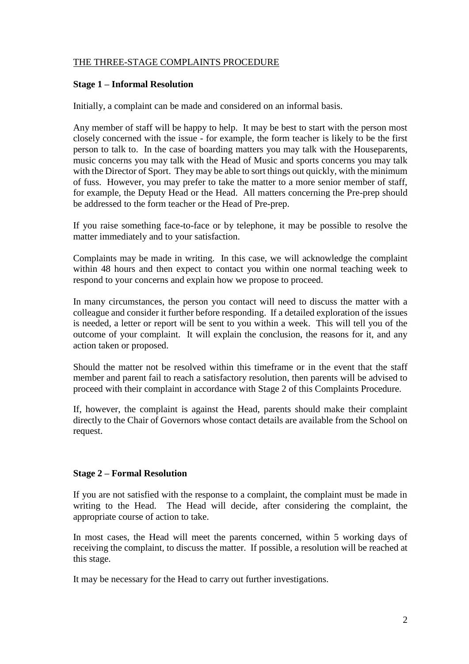#### THE THREE-STAGE COMPLAINTS PROCEDURE

#### **Stage 1 – Informal Resolution**

Initially, a complaint can be made and considered on an informal basis.

Any member of staff will be happy to help. It may be best to start with the person most closely concerned with the issue - for example, the form teacher is likely to be the first person to talk to. In the case of boarding matters you may talk with the Houseparents, music concerns you may talk with the Head of Music and sports concerns you may talk with the Director of Sport. They may be able to sort things out quickly, with the minimum of fuss. However, you may prefer to take the matter to a more senior member of staff, for example, the Deputy Head or the Head. All matters concerning the Pre-prep should be addressed to the form teacher or the Head of Pre-prep.

If you raise something face-to-face or by telephone, it may be possible to resolve the matter immediately and to your satisfaction.

Complaints may be made in writing. In this case, we will acknowledge the complaint within 48 hours and then expect to contact you within one normal teaching week to respond to your concerns and explain how we propose to proceed.

In many circumstances, the person you contact will need to discuss the matter with a colleague and consider it further before responding. If a detailed exploration of the issues is needed, a letter or report will be sent to you within a week. This will tell you of the outcome of your complaint. It will explain the conclusion, the reasons for it, and any action taken or proposed.

Should the matter not be resolved within this timeframe or in the event that the staff member and parent fail to reach a satisfactory resolution, then parents will be advised to proceed with their complaint in accordance with Stage 2 of this Complaints Procedure.

If, however, the complaint is against the Head, parents should make their complaint directly to the Chair of Governors whose contact details are available from the School on request.

#### **Stage 2 – Formal Resolution**

If you are not satisfied with the response to a complaint, the complaint must be made in writing to the Head. The Head will decide, after considering the complaint, the appropriate course of action to take.

In most cases, the Head will meet the parents concerned, within 5 working days of receiving the complaint, to discuss the matter. If possible, a resolution will be reached at this stage.

It may be necessary for the Head to carry out further investigations.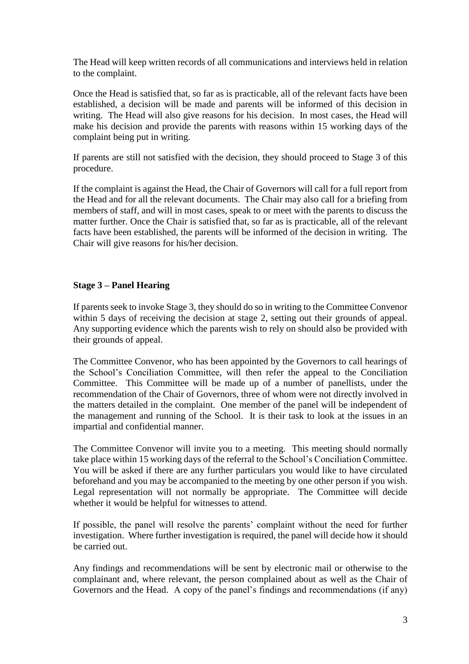The Head will keep written records of all communications and interviews held in relation to the complaint.

Once the Head is satisfied that, so far as is practicable, all of the relevant facts have been established, a decision will be made and parents will be informed of this decision in writing. The Head will also give reasons for his decision. In most cases, the Head will make his decision and provide the parents with reasons within 15 working days of the complaint being put in writing.

If parents are still not satisfied with the decision, they should proceed to Stage 3 of this procedure.

If the complaint is against the Head, the Chair of Governors will call for a full report from the Head and for all the relevant documents. The Chair may also call for a briefing from members of staff, and will in most cases, speak to or meet with the parents to discuss the matter further. Once the Chair is satisfied that, so far as is practicable, all of the relevant facts have been established, the parents will be informed of the decision in writing. The Chair will give reasons for his/her decision.

#### **Stage 3 – Panel Hearing**

If parents seek to invoke Stage 3, they should do so in writing to the Committee Convenor within 5 days of receiving the decision at stage 2, setting out their grounds of appeal. Any supporting evidence which the parents wish to rely on should also be provided with their grounds of appeal.

The Committee Convenor, who has been appointed by the Governors to call hearings of the School's Conciliation Committee, will then refer the appeal to the Conciliation Committee. This Committee will be made up of a number of panellists, under the recommendation of the Chair of Governors, three of whom were not directly involved in the matters detailed in the complaint. One member of the panel will be independent of the management and running of the School. It is their task to look at the issues in an impartial and confidential manner.

The Committee Convenor will invite you to a meeting. This meeting should normally take place within 15 working days of the referral to the School's Conciliation Committee. You will be asked if there are any further particulars you would like to have circulated beforehand and you may be accompanied to the meeting by one other person if you wish. Legal representation will not normally be appropriate. The Committee will decide whether it would be helpful for witnesses to attend.

If possible, the panel will resolve the parents' complaint without the need for further investigation. Where further investigation is required, the panel will decide how it should be carried out.

Any findings and recommendations will be sent by electronic mail or otherwise to the complainant and, where relevant, the person complained about as well as the Chair of Governors and the Head. A copy of the panel's findings and recommendations (if any)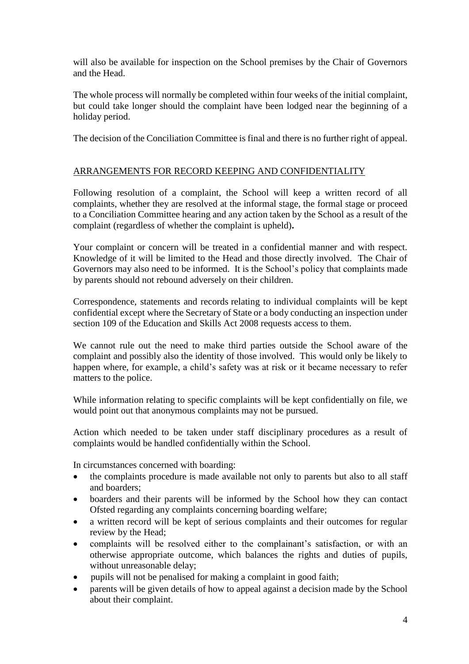will also be available for inspection on the School premises by the Chair of Governors and the Head.

The whole process will normally be completed within four weeks of the initial complaint, but could take longer should the complaint have been lodged near the beginning of a holiday period.

The decision of the Conciliation Committee is final and there is no further right of appeal.

#### ARRANGEMENTS FOR RECORD KEEPING AND CONFIDENTIALITY

Following resolution of a complaint, the School will keep a written record of all complaints, whether they are resolved at the informal stage, the formal stage or proceed to a Conciliation Committee hearing and any action taken by the School as a result of the complaint (regardless of whether the complaint is upheld)**.**

Your complaint or concern will be treated in a confidential manner and with respect. Knowledge of it will be limited to the Head and those directly involved. The Chair of Governors may also need to be informed. It is the School's policy that complaints made by parents should not rebound adversely on their children.

Correspondence, statements and records relating to individual complaints will be kept confidential except where the Secretary of State or a body conducting an inspection under section 109 of the Education and Skills Act 2008 requests access to them.

We cannot rule out the need to make third parties outside the School aware of the complaint and possibly also the identity of those involved. This would only be likely to happen where, for example, a child's safety was at risk or it became necessary to refer matters to the police.

While information relating to specific complaints will be kept confidentially on file, we would point out that anonymous complaints may not be pursued.

Action which needed to be taken under staff disciplinary procedures as a result of complaints would be handled confidentially within the School.

In circumstances concerned with boarding:

- the complaints procedure is made available not only to parents but also to all staff and boarders;
- boarders and their parents will be informed by the School how they can contact Ofsted regarding any complaints concerning boarding welfare;
- a written record will be kept of serious complaints and their outcomes for regular review by the Head;
- complaints will be resolved either to the complainant's satisfaction, or with an otherwise appropriate outcome, which balances the rights and duties of pupils, without unreasonable delay;
- pupils will not be penalised for making a complaint in good faith;
- parents will be given details of how to appeal against a decision made by the School about their complaint.